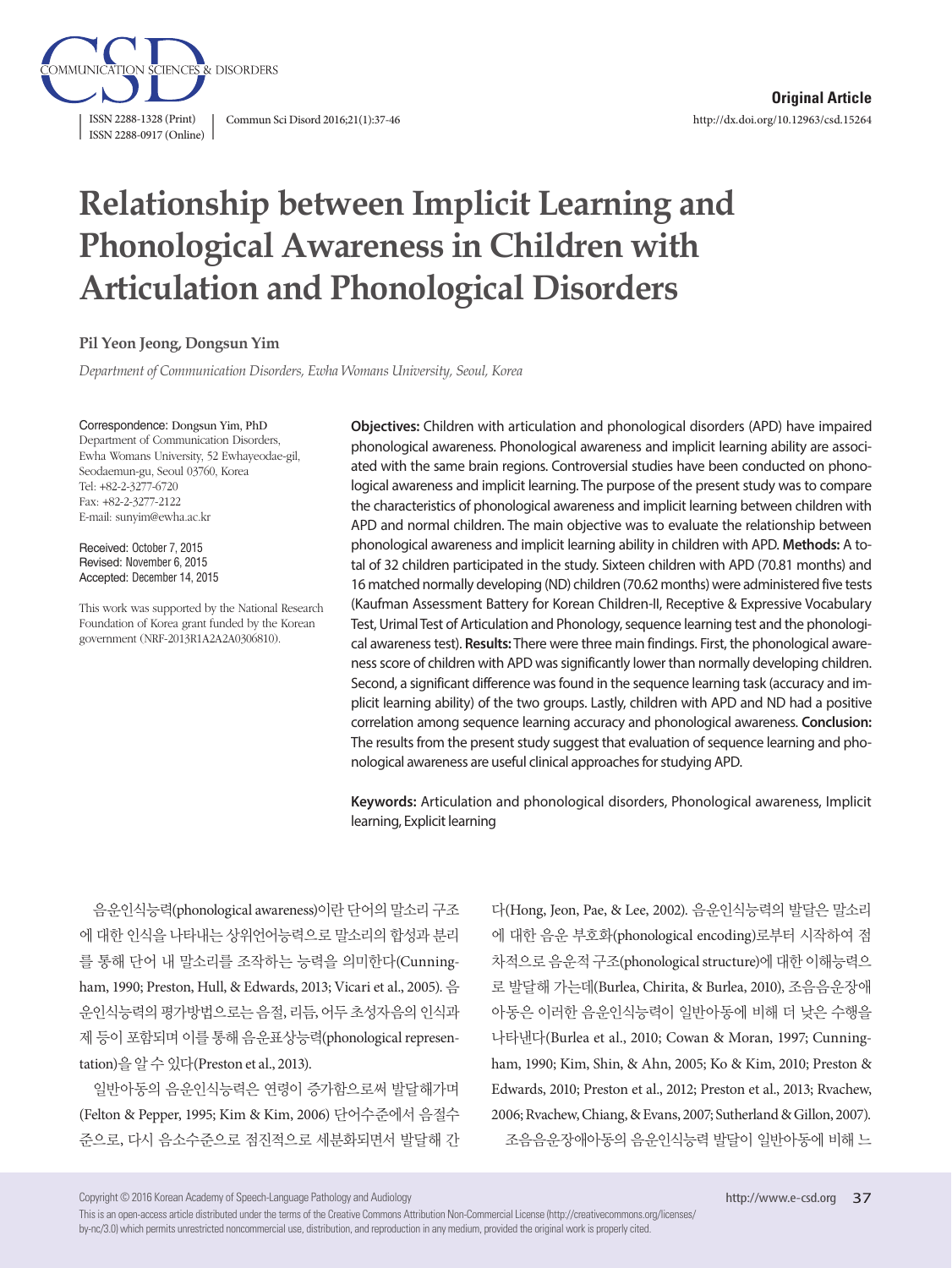

# **Relationship between Implicit Learning and Phonological Awareness in Children with Articulation and Phonological Disorders**

## **Pil Yeon Jeong, Dongsun Yim**

*Department of Communication Disorders, Ewha Womans University, Seoul, Korea*

#### Correspondence: Dongsun Yim, PhD

Department of Communication Disorders, Ewha Womans University, 52 Ewhayeodae-gil, Seodaemun-gu, Seoul 03760, Korea Tel: +82-2-3277-6720 Fax: +82-2-3277-2122 E-mail: sunyim@ewha.ac.kr

Received: October 7, 2015 Revised: November 6, 2015 Accepted: December 14, 2015

This work was supported by the National Research Foundation of Korea grant funded by the Korean government (NRF-2013R1A2A2A0306810).

**Objectives:** Children with articulation and phonological disorders (APD) have impaired phonological awareness. Phonological awareness and implicit learning ability are associated with the same brain regions. Controversial studies have been conducted on phonological awareness and implicit learning. The purpose of the present study was to compare the characteristics of phonological awareness and implicit learning between children with APD and normal children. The main objective was to evaluate the relationship between phonological awareness and implicit learning ability in children with APD. **Methods:** A total of 32 children participated in the study. Sixteen children with APD (70.81 months) and 16 matched normally developing (ND) children (70.62 months) were administered five tests (Kaufman Assessment Battery for Korean Children-II, Receptive & Expressive Vocabulary Test, Urimal Test of Articulation and Phonology, sequence learning test and the phonological awareness test). **Results:** There were three main findings. First, the phonological awareness score of children with APD was significantly lower than normally developing children. Second, a significant difference was found in the sequence learning task (accuracy and implicit learning ability) of the two groups. Lastly, children with APD and ND had a positive correlation among sequence learning accuracy and phonological awareness. **Conclusion:** The results from the present study suggest that evaluation of sequence learning and phonological awareness are useful clinical approaches for studying APD.

**Keywords:** Articulation and phonological disorders, Phonological awareness, Implicit learning, Explicit learning

음운인식능력(phonological awareness)이란 단어의 말소리 구조 에 대한 인식을 나타내는 상위언어능력으로 말소리의 합성과 분리 를 통해 단어 내 말소리를 조작하는 능력을 의미한다(Cunningham, 1990; Preston, Hull, & Edwards, 2013; Vicari et al., 2005). 음 운인식능력의 평가방법으로는 음절, 리듬, 어두 초성자음의 인식과 제 등이 포함되며 이를 통해 음운표상능력(phonological representation)을알수있다(Preston et al., 2013).

일반아동의 음운인식능력은 연령이 증가함으로써 발달해가며 (Felton & Pepper, 1995; Kim & Kim, 2006) 단어수준에서 음절수 준으로, 다시 음소수준으로 점진적으로 세분화되면서 발달해 간

다(Hong, Jeon, Pae, & Lee, 2002). 음운인식능력의 발달은 말소리 에 대한 음운 부호화(phonological encoding)로부터 시작하여 점 차적으로 음운적 구조(phonological structure)에 대한 이해능력으 로 발달해 가는데(Burlea, Chirita, & Burlea, 2010), 조음음운장애 아동은 이러한 음운인식능력이 일반아동에 비해 더 낮은 수행을 나타낸다(Burlea et al., 2010; Cowan & Moran, 1997; Cunningham, 1990; Kim, Shin, & Ahn, 2005; Ko & Kim, 2010; Preston & Edwards, 2010; Preston et al., 2012; Preston et al., 2013; Rvachew, 2006; Rvachew, Chiang, & Evans, 2007; Sutherland & Gillon, 2007). 조음음운장애아동의 음운인식능력 발달이 일반아동에 비해 느

Copyright © 2016 Korean Academy of Speech-Language Pathology and Audiology

This is an open-access article distributed under the terms of the Creative Commons Attribution Non-Commercial License (http://creativecommons.org/licenses/ by-nc/3.0) which permits unrestricted noncommercial use, distribution, and reproduction in any medium, provided the original work is properly cited.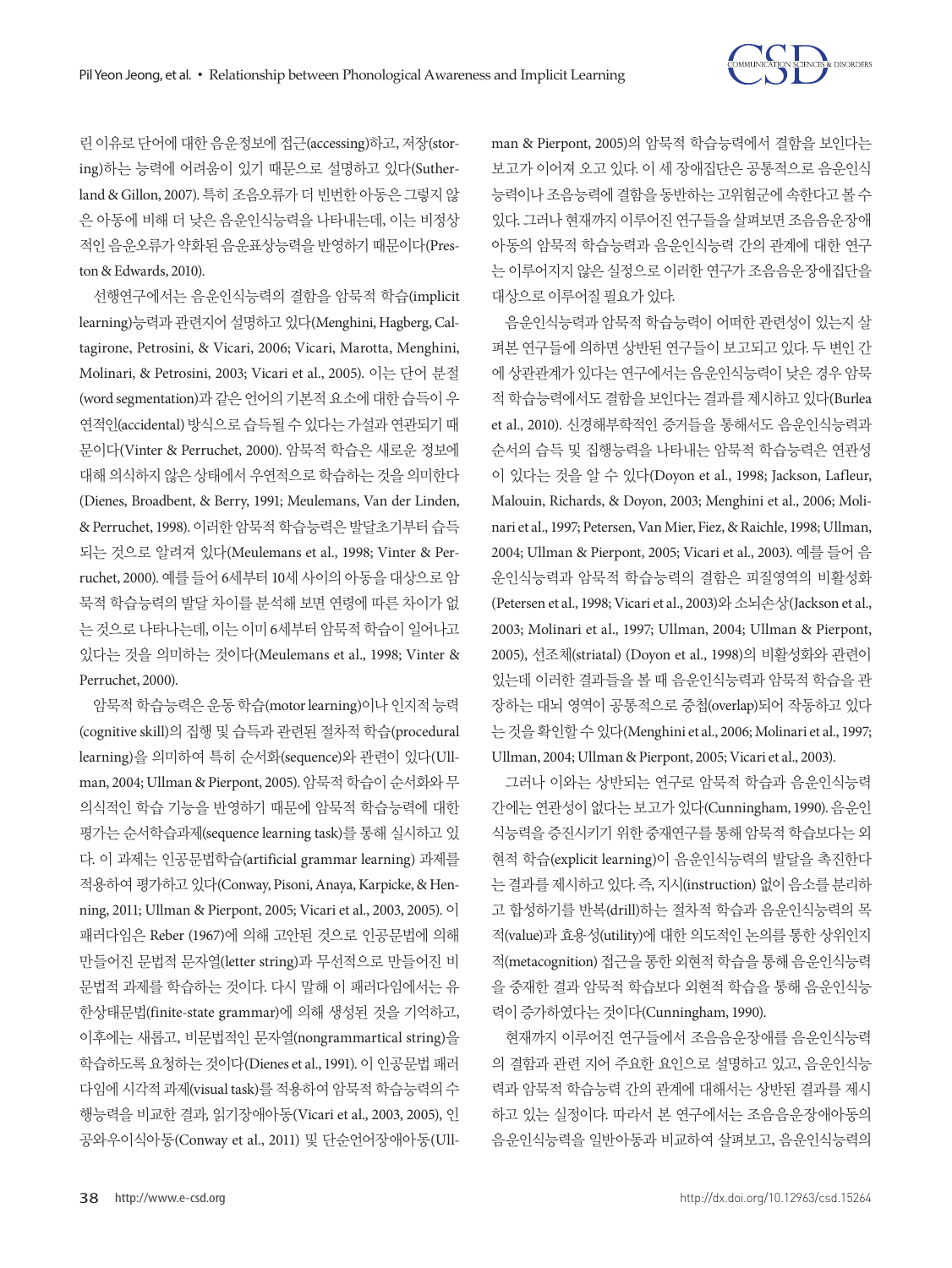

린이유로 단어에 대한 음운정보에 접근(accessing)하고, 저장(storing)하는 능력에 어려움이 있기 때문으로 설명하고 있다(Sutherland & Gillon, 2007). 특히 조음오류가 더 빈번한 아동은 그렇지 않 은 아동에 비해 더 낮은 음운인식능력을 나타내는데, 이는 비정상 적인 음운오류가 약화된 음운표상능력을 반영하기 때문이다(Preston & Edwards, 2010).

선행연구에서는 음운인식능력의 결함을 암묵적 학습(implicit learning)능력과 관련지어 설명하고 있다(Menghini, Hagberg, Caltagirone, Petrosini, & Vicari, 2006; Vicari, Marotta, Menghini, Molinari, & Petrosini, 2003; Vicari et al., 2005). 이는 단어 분절 (word segmentation)과 같은 언어의 기본적 요소에 대한 습득이 우 연적인(accidental) 방식으로 습득될 수 있다는 가설과 연관되기 때 문이다(Vinter & Perruchet, 2000). 암묵적 학습은 새로운 정보에 대해 의식하지 않은 상태에서 우연적으로 학습하는 것을 의미한다 (Dienes, Broadbent, & Berry, 1991; Meulemans, Van der Linden, & Perruchet, 1998). 이러한 암묵적 학습능력은 발달초기부터 습득 되는 것으로 알려져 있다(Meulemans et al., 1998; Vinter & Perruchet, 2000). 예를 들어 6세부터 10세 사이의 아동을 대상으로 암 묵적 학습능력의 발달 차이를 분석해 보면 연령에 따른 차이가 없 는 것으로 나타나는데, 이는 이미 6세부터 암묵적 학습이 일어나고 있다는 것을 의미하는 것이다(Meulemans et al., 1998; Vinter & Perruchet, 2000).

암묵적 학습능력은 운동 학습(motor learning)이나 인지적 능력 (cognitive skill)의 집행 및 습득과 관련된 절차적 학습(procedural learning)을 의미하여 특히 순서화(sequence)와 관련이 있다(Ullman, 2004; Ullman & Pierpont, 2005). 암묵적 학습이 순서화와 무 의식적인 학습 기능을 반영하기 때문에 암묵적 학습능력에 대한 평가는 순서학습과제(sequence learning task)를 통해 실시하고 있 다. 이 과제는 인공문법학습(artificial grammar learning) 과제를 적용하여평가하고있다(Conway, Pisoni, Anaya, Karpicke, & Henning, 2011; Ullman & Pierpont, 2005; Vicari et al., 2003, 2005). 이 패러다임은 Reber (1967)에 의해 고안된 것으로 인공문법에 의해 만들어진 문법적 문자열(letter string)과 무선적으로 만들어진 비 문법적 과제를 학습하는 것이다. 다시 말해 이 패러다임에서는 유 한상태문법(finite-state grammar)에 의해 생성된 것을 기억하고, 이후에는 새롭고, 비문법적인 문자열(nongrammartical string)을 학습하도록 요청하는 것이다(Dienes et al., 1991). 이 인공문법 패러 다임에 시각적 과제(visual task)를 적용하여 암묵적 학습능력의 수 행능력을 비교한 결과, 읽기장애아동(Vicari et al., 2003, 2005), 인 공와우이식아동(Conway et al., 2011) 및 단순언어장애아동(Ull-

man & Pierpont, 2005)의 암묵적 학습능력에서 결함을 보인다는 보고가 이어져 오고 있다. 이 세 장애집단은 공통적으로 음운인식 능력이나 조음능력에 결함을 동반하는 고위험군에 속한다고 볼 수 있다. 그러나 현재까지 이루어진 연구들을 살펴보면 조음음운장애 아동의 암묵적 학습능력과 음운인식능력 간의 관계에 대한 연구 는 이루어지지 않은 실정으로 이러한 연구가 조음음운장애집단을 대상으로이루어질필요가있다.

음운인식능력과 암묵적 학습능력이 어떠한 관련성이 있는지 살 펴본 연구들에 의하면 상반된 연구들이 보고되고 있다. 두 변인 간 에 상관관계가 있다는 연구에서는 음운인식능력이 낮은 경우 암묵 적 학습능력에서도 결함을 보인다는 결과를 제시하고 있다(Burlea et al., 2010). 신경해부학적인 증거들을 통해서도 음운인식능력과 순서의 습득 및 집행능력을 나타내는 암묵적 학습능력은 연관성 이 있다는 것을 알 수 있다(Doyon et al., 1998; Jackson, Lafleur, Malouin, Richards, & Doyon, 2003; Menghini et al., 2006; Molinari et al., 1997; Petersen, Van Mier, Fiez, & Raichle, 1998; Ullman, 2004; Ullman & Pierpont, 2005; Vicari et al., 2003). 예를 들어 음 운인식능력과 암묵적 학습능력의 결함은 피질영역의 비활성화 (Petersen et al., 1998; Vicari et al., 2003)와 소뇌손상(Jackson et al., 2003; Molinari et al., 1997; Ullman, 2004; Ullman & Pierpont, 2005), 선조체(striatal) (Doyon et al., 1998)의 비활성화와 관련이 있는데 이러한 결과들을 볼 때 음운인식능력과 암묵적 학습을 관 장하는 대뇌 영역이 공통적으로 중첩(overlap)되어 작동하고 있다 는것을확인할수있다(Menghini et al., 2006; Molinari et al., 1997; Ullman, 2004; Ullman & Pierpont, 2005; Vicari et al., 2003).

그러나 이와는 상반되는 연구로 암묵적 학습과 음운인식능력 간에는 연관성이 없다는 보고가 있다(Cunningham, 1990). 음운인 식능력을 증진시키기 위한 중재연구를 통해 암묵적 학습보다는 외 현적 학습(explicit learning)이 음운인식능력의 발달을 촉진한다 는 결과를 제시하고 있다. 즉, 지시(instruction) 없이 음소를 분리하 고 합성하기를 반복(drill)하는 절차적 학습과 음운인식능력의 목 적(value)과 효용성(utility)에 대한 의도적인 논의를 통한 상위인지 적(metacognition) 접근을 통한 외현적 학습을 통해 음운인식능력 을 중재한 결과 암묵적 학습보다 외현적 학습을 통해 음운인식능 력이증가하였다는것이다(Cunningham, 1990).

현재까지 이루어진 연구들에서 조음음운장애를 음운인식능력 의 결함과 관련 지어 주요한 요인으로 설명하고 있고, 음운인식능 력과 암묵적 학습능력 간의 관계에 대해서는 상반된 결과를 제시 하고 있는 실정이다. 따라서 본 연구에서는 조음음운장애아동의 음운인식능력을 일반아동과 비교하여 살펴보고, 음운인식능력의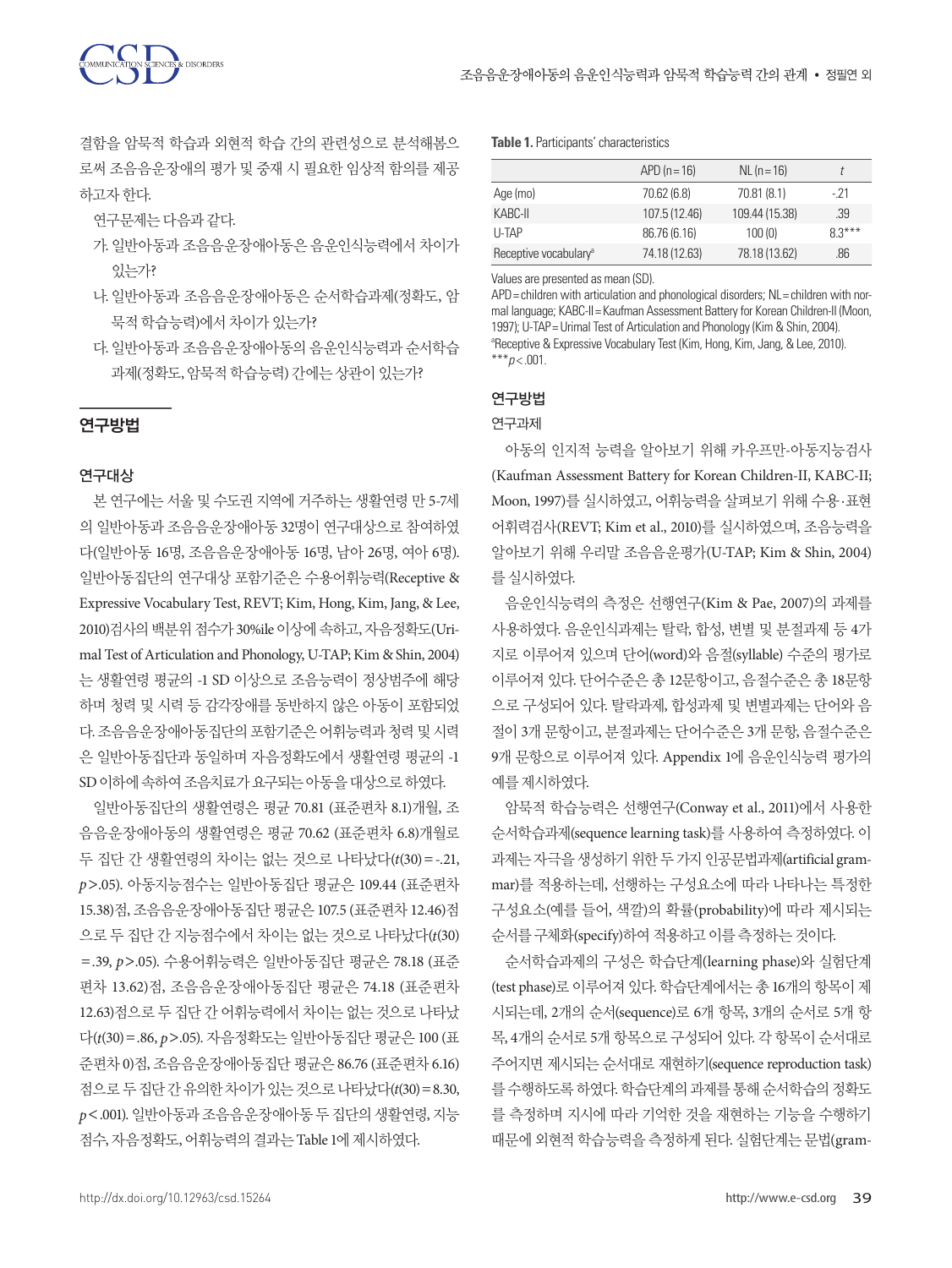결함을 암묵적 학습과 외현적 학습 간의 관련성으로 분석해봄으 로써 조음음운장애의 평가 및 중재 시 필요한 임상적 함의를 제공 하고자한다.

연구문제는다음과같다.

- 가. 일반아동과 조음음운장애아동은 음운인식능력에서 차이가 있는가?
- 나. 일반아동과 조음음운장애아동은 순서학습과제(정확도, 암 묵적 학습능력)에서 차이가 있는가?
- 다. 일반아동과 조음음운장애아동의 음운인식능력과 순서학습 과제(정확도, 암묵적 학습능력) 간에는 상관이 있는가?

## 연구방법

## 연구대상

본 연구에는 서울 및 수도권 지역에 거주하는 생활연령 만 5-7세 의 일반아동과 조음음운장애아동 32명이 연구대상으로 참여하였 다(일반아동 16명, 조음음운장애아동 16명, 남아 26명, 여아 6명). 일반아동집단의 연구대상 포함기준은 수용어휘능력(Receptive & Expressive Vocabulary Test, REVT; Kim, Hong, Kim, Jang, & Lee, 2010)검사의 백분위 점수가 30%ile 이상에 속하고, 자음정확도(Urimal Test of Articulation and Phonology, U-TAP; Kim & Shin, 2004) 는 생활연령 평균의 -1 SD 이상으로 조음능력이 정상범주에 해당 하며 청력 및 시력 등 감각장애를 동반하지 않은 아동이 포함되었 다. 조음음운장애아동집단의포함기준은어휘능력과청력및시력 은 일반아동집단과 동일하며 자음정확도에서 생활연령 평균의 -1 SD 이하에속하여조음치료가요구되는아동을대상으로하였다.

일반아동집단의 생활연령은 평균 70.81 (표준편차 8.1)개월, 조 음음운장애아동의 생활연령은 평균 70.62 (표준편차 6.8)개월로 두 집단 간 생활연령의 차이는 없는 것으로 나타났다(*t*(30)=-.21, *p*>.05). 아동지능점수는 일반아동집단 평균은 109.44 (표준편차 15.38)점, 조음음운장애아동집단 평균은 107.5 (표준편차 12.46)점 으로 두 집단 간 지능점수에서 차이는 없는 것으로 나타났다(*t*(30) =.39, *p*>.05). 수용어휘능력은 일반아동집단 평균은 78.18 (표준 편차 13.62)점, 조음음운장애아동집단 평균은 74.18 (표준편차 12.63)점으로 두 집단 간 어휘능력에서 차이는 없는 것으로 나타났 다(*t*(30)=.86, *p*>.05). 자음정확도는 일반아동집단 평균은 100 (표 준편차 0)점, 조음음운장애아동집단 평균은 86.76 (표준편차 6.16) 점으로 두집단간유의한차이가있는것으로나타났다(*t*(30)=8.30, *p*<.001). 일반아동과 조음음운장애아동 두 집단의 생활연령, 지능 점수, 자음정확도, 어휘능력의 결과는 Table 1에 제시하였다.

#### **Table 1.** Participants' characteristics

|                                   | $APD(n=16)$   | $NL (n = 16)$  |          |
|-----------------------------------|---------------|----------------|----------|
| Age (mo)                          | 70.62 (6.8)   | 70.81 (8.1)    | - 21     |
| KABC-II                           | 107.5 (12.46) | 109.44 (15.38) | .39      |
| <b>U-TAP</b>                      | 86.76 (6.16)  | 100(0)         | $8.3***$ |
| Receptive vocabulary <sup>a</sup> | 74.18 (12.63) | 78.18 (13.62)  | .86      |

Values are presented as mean (SD).

APD = children with articulation and phonological disorders; NL = children with normal language; KABC-II= Kaufman Assessment Battery for Korean Children-II (Moon, 1997); U-TAP= Urimal Test of Articulation and Phonology (Kim & Shin, 2004). <sup>a</sup>Receptive & Expressive Vocabulary Test (Kim, Hong, Kim, Jang, & Lee, 2010).  $***p<.001$ .

# 연구방법

#### 연구과제

아동의 인지적 능력을 알아보기 위해 카우프만-아동지능검사 (Kaufman Assessment Battery for Korean Children-II, KABC-II; Moon, 1997)를 실시하였고, 어휘능력을 살펴보기 위해 수용·표현 어휘력검사(REVT; Kim et al., 2010)를 실시하였으며, 조음능력을 알아보기 위해 우리말 조음음운평가(U-TAP; Kim & Shin, 2004) 를실시하였다.

음운인식능력의 측정은 선행연구(Kim & Pae, 2007)의 과제를 사용하였다. 음운인식과제는 탈락, 합성, 변별 및 분절과제 등 4가 지로 이루어져 있으며 단어(word)와 음절(syllable) 수준의 평가로 이루어져 있다. 단어수준은 총 12문항이고, 음절수준은 총 18문항 으로 구성되어 있다. 탈락과제, 합성과제 및 변별과제는 단어와 음 절이 3개 문항이고, 분절과제는 단어수준은 3개 문항, 음절수준은 9개 문항으로 이루어져 있다. Appendix 1에 음운인식능력 평가의 예를제시하였다.

암묵적 학습능력은 선행연구(Conway et al., 2011)에서 사용한 순서학습과제(sequence learning task)를 사용하여 측정하였다. 이 과제는 자극을 생성하기 위한 두 가지 인공문법과제(artificial grammar)를 적용하는데, 선행하는 구성요소에 따라 나타나는 특정한 구성요소(예를 들어, 색깔)의 확률(probability)에 따라 제시되는 순서를 구체화(specify)하여 적용하고 이를 측정하는 것이다.

순서학습과제의 구성은 학습단계(learning phase)와 실험단계 (test phase)로 이루어져 있다. 학습단계에서는 총 16개의 항목이 제 시되는데, 2개의 순서(sequence)로 6개 항목, 3개의 순서로 5개 항 목, 4개의 순서로 5개 항목으로 구성되어 있다. 각 항목이 순서대로 주어지면 제시되는 순서대로 재현하기(sequence reproduction task) 를수행하도록 하였다. 학습단계의 과제를 통해 순서학습의 정확도 를 측정하며 지시에 따라 기억한 것을 재현하는 기능을 수행하기 때문에 외현적 학습능력을 측정하게 된다. 실험단계는 문법(gram-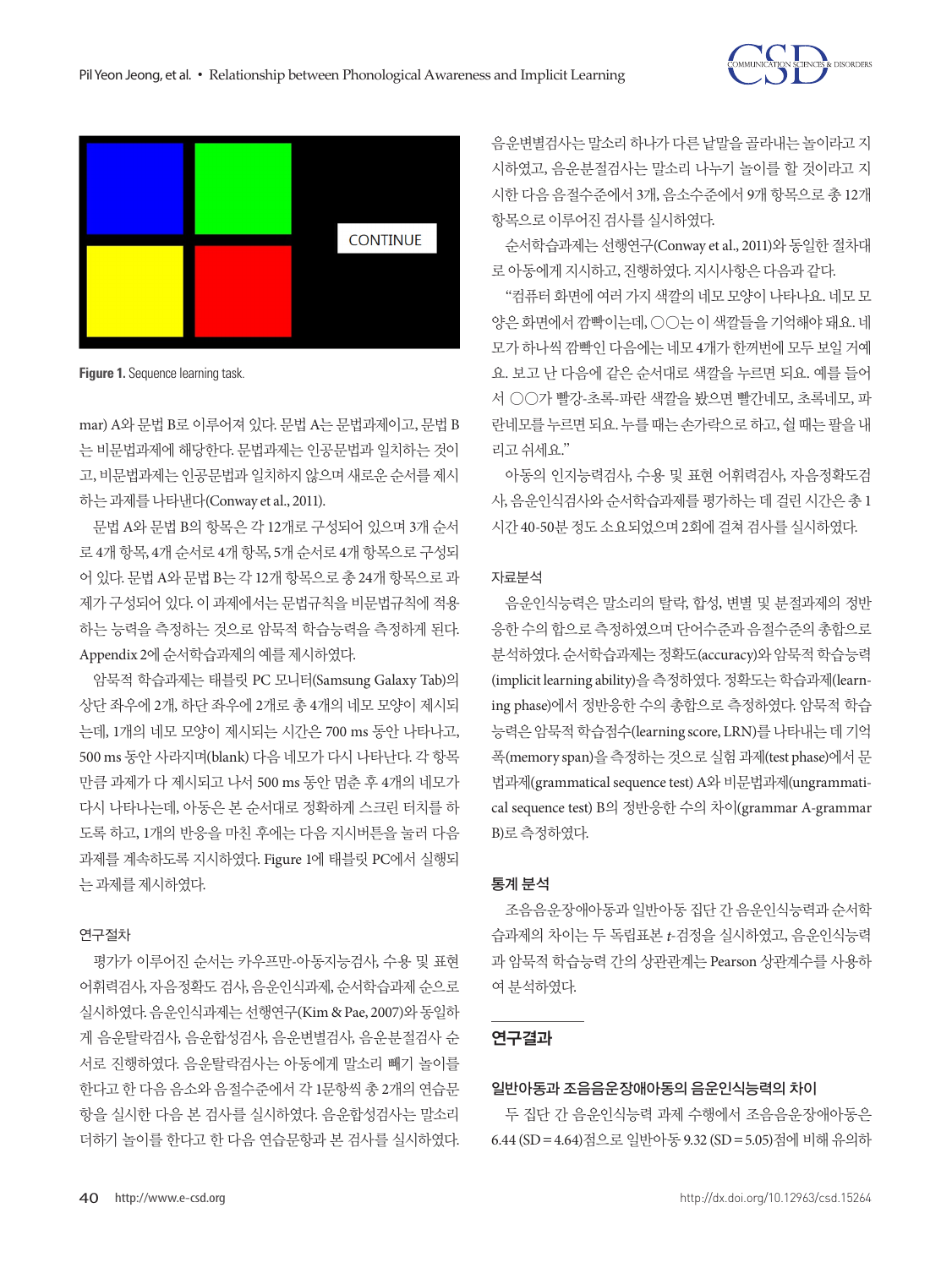



**Figure 1.** Sequence learning task.

mar) A와 문법 B로 이루어져 있다. 문법 A는 문법과제이고, 문법 B 는 비문법과제에 해당한다. 문법과제는 인공문법과 일치하는 것이 고, 비문법과제는 인공문법과 일치하지 않으며 새로운 순서를 제시 하는과제를나타낸다(Conway et al., 2011).

문법 A와 문법 B의 항목은 각 12개로 구성되어 있으며 3개 순서 로 4개 항목, 4개 순서로 4개 항목, 5개 순서로 4개 항목으로 구성되 어 있다. 문법 A와 문법 B는 각 12개 항목으로 총 24개 항목으로 과 제가 구성되어 있다. 이 과제에서는 문법규칙을 비문법규칙에 적용 하는 능력을 측정하는 것으로 암묵적 학습능력을 측정하게 된다. Appendix 2에순서학습과제의예를제시하였다.

암묵적 학습과제는 태블릿 PC 모니터(Samsung Galaxy Tab)의 상단 좌우에 2개, 하단 좌우에 2개로 총 4개의 네모 모양이 제시되 는데, 1개의 네모 모양이 제시되는 시간은 700 ms 동안 나타나고, 500 ms 동안 사라지며(blank) 다음 네모가 다시 나타난다. 각 항목 만큼 과제가 다 제시되고 나서 500 ms 동안 멈춘 후 4개의 네모가 다시 나타나는데, 아동은 본 순서대로 정확하게 스크린 터치를 하 도록 하고, 1개의 반응을 마친 후에는 다음 지시버튼을 눌러 다음 과제를 계속하도록 지시하였다. Figure 1에 태블릿 PC에서 실행되 는과제를제시하였다.

#### 연구절차

평가가 이루어진 순서는 카우프만-아동지능검사, 수용 및 표현 어휘력검사, 자음정확도 검사, 음운인식과제, 순서학습과제 순으로 실시하였다. 음운인식과제는 선행연구(Kim & Pae, 2007)와 동일하 게 음운탈락검사, 음운합성검사, 음운변별검사, 음운분절검사 순 서로 진행하였다. 음운탈락검사는 아동에게 말소리 빼기 놀이를 한다고 한 다음 음소와 음절수준에서 각 1문항씩 총 2개의 연습문 항을 실시한 다음 본 검사를 실시하였다. 음운합성검사는 말소리 더하기 놀이를 한다고 한 다음 연습문항과 본 검사를 실시하였다.

음운변별검사는 말소리 하나가 다른 낱말을 골라내는 놀이라고 지 시하였고, 음운분절검사는 말소리 나누기 놀이를 할 것이라고 지 시한 다음 음절수준에서 3개, 음소수준에서 9개 항목으로 총 12개 항목으로 이루어진 검사를 실시하였다.

순서학습과제는 선행연구(Conway et al., 2011)와 동일한 절차대 로아동에게지시하고, 진행하였다. 지시사항은다음과같다.

"컴퓨터 화면에 여러 가지 색깔의 네모 모양이 나타나요. 네모 모 양은 화면에서 깜빡이는데, ○○는 이 색깔들을 기억해야 돼요. 네 모가 하나씩 깜빡인 다음에는 네모 4개가 한꺼번에 모두 보일 거예 요. 보고 난 다음에 같은 순서대로 색깔을 누르면 되요. 예를 들어 서 ○○가 빨강-초록-파란 색깔을 봤으면 빨간네모, 초록네모, 파 란네모를 누르면 되요. 누를 때는 손가락으로 하고, 쉴 때는 팔을 내 리고쉬세요."

아동의 인지능력검사, 수용 및 표현 어휘력검사, 자음정확도검 사, 음운인식검사와 순서학습과제를 평가하는 데 걸린 시간은 총 1 시간 40-50분정도소요되었으며 2회에걸쳐검사를실시하였다.

#### 자료분석

음운인식능력은 말소리의 탈락, 합성, 변별 및 분절과제의 정반 응한 수의 합으로 측정하였으며 단어수준과 음절수준의 총합으로 분석하였다. 순서학습과제는 정확도(accuracy)와 암묵적 학습능력 (implicit learning ability)을 측정하였다. 정확도는 학습과제(learning phase)에서 정반응한 수의 총합으로 측정하였다. 암묵적 학습 능력은 암묵적 학습점수(learning score, LRN)를 나타내는 데 기억 폭(memory span)을 측정하는 것으로 실험 과제(test phase)에서 문 법과제(grammatical sequence test) A와 비문법과제(ungrammatical sequence test) B의 정반응한 수의 차이(grammar A-grammar B)로측정하였다.

#### 통계 분석

조음음운장애아동과 일반아동 집단 간 음운인식능력과 순서학 습과제의 차이는 두 독립표본 *t*-검정을 실시하였고, 음운인식능력 과 암묵적 학습능력 간의 상관관계는 Pearson 상관계수를 사용하 여분석하였다.

## 연구결과

### 일반아동과 조음음운장애아동의 음운인식능력의 차이

두 집단 간 음운인식능력 과제 수행에서 조음음운장애아동은 6.44 (SD=4.64)점으로 일반아동 9.32 (SD=5.05)점에 비해 유의하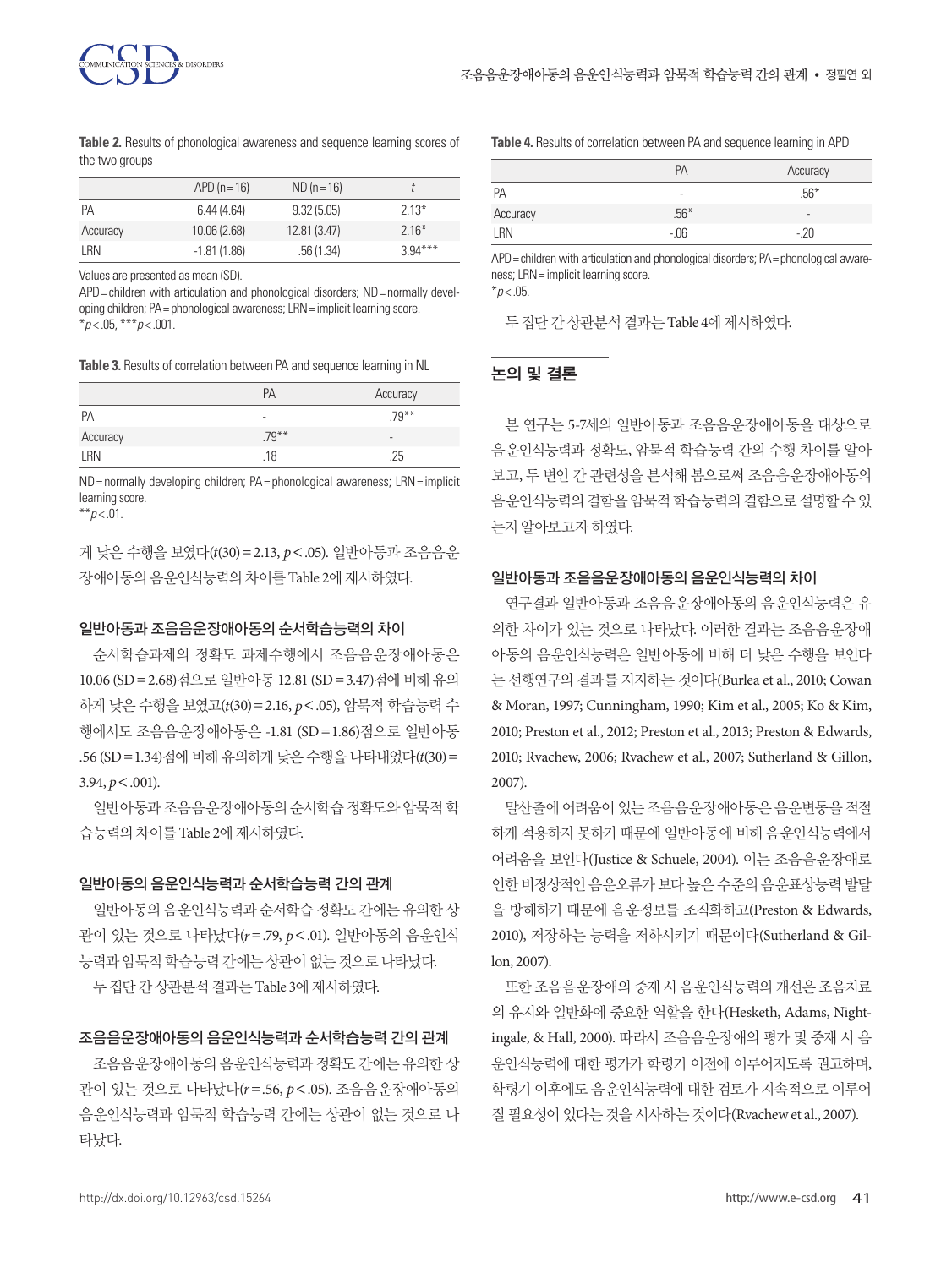

**Table 2.** Results of phonological awareness and sequence learning scores of the two groups

|          | $APD(n=16)$   | $ND (n = 16)$ |           |
|----------|---------------|---------------|-----------|
| РA       | 6.44(4.64)    | 9.32(5.05)    | $2.13*$   |
| Accuracy | 10.06(2.68)   | 12.81 (3.47)  | $2.16*$   |
| I RN     | $-1.81(1.86)$ | .56(1.34)     | $3.94***$ |

Values are presented as mean (SD).

 $APD =$  children with articulation and phonological disorders:  $ND =$  normally developing children; PA= phonological awareness; LRN= implicit learning score. \**p* < .05, \*\*\**p* < .001.

**Table 3.** Results of correlation between PA and sequence learning in NL

|          | PA       | Accuracy |
|----------|----------|----------|
| PA       | ۰        | $.79***$ |
| Accuracy | $.79***$ | $\sim$   |
| LRN      | .18      | .25      |

ND = normally developing children; PA = phonological awareness; LRN = implicit learning score.

\*\**p* < .01.

게 낮은 수행을 보였다(*t*(30)=2.13, *p*<.05). 일반아동과 조음음운 장애아동의음운인식능력의차이를 Table 2에제시하였다.

#### 일반아동과 조음음운장애아동의 순서학습능력의 차이

순서학습과제의 정확도 과제수행에서 조음음운장애아동은 10.06 (SD=2.68)점으로 일반아동 12.81 (SD=3.47)점에 비해 유의 하게 낮은 수행을 보였고(*t*(30)=2.16, *p*<.05), 암묵적 학습능력 수 행에서도 조음음운장애아동은 -1.81 (SD=1.86)점으로 일반아동 .56 (SD=1.34)점에 비해 유의하게 낮은 수행을 나타내었다(*t*(30)=  $3.94, p < .001$ 

일반아동과 조음음운장애아동의 순서학습 정확도와 암묵적 학 습능력의차이를 Table 2에제시하였다.

#### 일반아동의 음운인식능력과 순서학습능력 간의 관계

일반아동의 음운인식능력과 순서학습 정확도 간에는 유의한 상 관이 있는 것으로 나타났다(*r*=.79, *p*<.01). 일반아동의 음운인식 능력과암묵적학습능력간에는상관이없는것으로나타났다.

두집단간상관분석결과는 Table 3에제시하였다.

#### 조음음운장애아동의 음운인식능력과 순서학습능력 간의 관계

조음음운장애아동의 음운인식능력과 정확도 간에는 유의한 상 관이 있는 것으로 나타났다(*r*=.56, *p*<.05). 조음음운장애아동의 음운인식능력과 암묵적 학습능력 간에는 상관이 없는 것으로 나 타났다.

**Table 4.** Results of correlation between PA and sequence learning in APD

|          | PA     | Accuracy |
|----------|--------|----------|
| PA       |        | $.56*$   |
| Accuracy | $.56*$ | ٠        |
| LRN      | -.06   | -.ZU     |

APD = children with articulation and phonological disorders; PA = phonological awareness; LRN= implicit learning score.

 $*p$  < .05.

두 집단 간 상관부석 결과는 Table 4에 제시하였다.

#### 논의 및 결론

본 연구는 5-7세의 일반아동과 조음음운장애아동을 대상으로 음운인식능력과 정확도, 암묵적 학습능력 간의 수행 차이를 알아 보고, 두 변인 간 관련성을 분석해 봄으로써 조음음운장애아동의 음운인식능력의결함을암묵적학습능력의결함으로설명할수있 는지알아보고자하였다.

#### 일반아동과 조음음운장애아동의 음운인식능력의 차이

연구결과 일반아동과 조음음운장애아동의 음운인식능력은 유 의한 차이가 있는 것으로 나타났다. 이러한 결과는 조음음운장애 아동의 음운인식능력은 일반아동에 비해 더 낮은 수행을 보인다 는 선행연구의 결과를 지지하는 것이다(Burlea et al., 2010; Cowan & Moran, 1997; Cunningham, 1990; Kim et al., 2005; Ko & Kim, 2010; Preston et al., 2012; Preston et al., 2013; Preston & Edwards, 2010; Rvachew, 2006; Rvachew et al., 2007; Sutherland & Gillon, 2007).

말산출에어려움이있는조음음운장애아동은음운변동을적절 하게 적용하지 못하기 때문에 일반아동에 비해 음운인식능력에서 어려움을 보인다(Justice & Schuele, 2004). 이는 조음음운장애로 인한 비정상적인 음운오류가 보다 높은 수준의 음운표상능력 발달 을 방해하기 때문에 음운정보를 조직화하고(Preston & Edwards, 2010), 저장하는 능력을 저하시키기 때문이다(Sutherland & Gillon, 2007).

또한 조음음운장애의 중재 시 음운인식능력의 개선은 조음치료 의 유지와 일반화에 중요한 역할을 한다(Hesketh, Adams, Nightingale, & Hall, 2000). 따라서 조음음운장애의 평가 및 중재 시 음 운인식능력에 대한 평가가 학령기 이전에 이루어지도록 권고하며, 학령기 이후에도 음운인식능력에 대한 검토가 지속적으로 이루어 질 필요성이 있다는 것을 시사하는 것이다(Rvachew et al., 2007).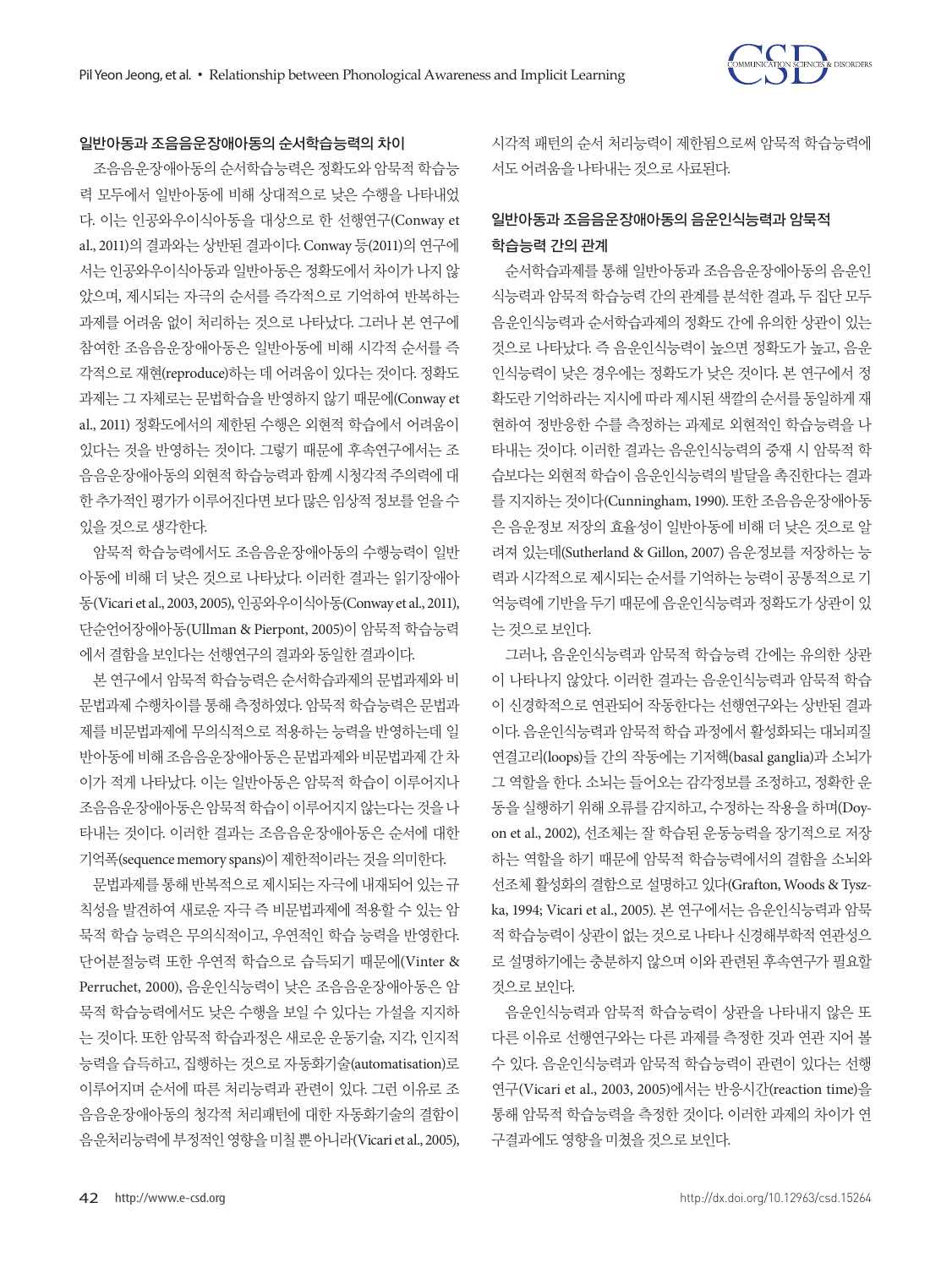#### 일반아동과 조음음운장애아동의 순서학습능력의 차이

조음음운장애아동의 순서학습능력은 정확도와 암묵적 학습능 력 모두에서 일반아동에 비해 상대적으로 낮은 수행을 나타내었 다. 이는 인공와우이식아동을 대상으로 한 선행연구(Conway et al., 2011)의 결과와는 상반된 결과이다. Conway 등(2011)의 연구에 서는 인공와우이식아동과 일반아동은 정확도에서 차이가 나지 않 았으며, 제시되는 자극의 순서를 즉각적으로 기억하여 반복하는 과제를 어려움 없이 처리하는 것으로 나타났다. 그러나 본 연구에 참여한 조음음운장애아동은 일반아동에 비해 시각적 순서를 즉 각적으로 재현(reproduce)하는 데 어려움이 있다는 것이다. 정확도 과제는 그 자체로는 문법학습을 반영하지 않기 때문에(Conway et al., 2011) 정확도에서의 제한된 수행은 외현적 학습에서 어려움이 있다는 것을 반영하는 것이다. 그렇기 때문에 후속연구에서는 조 음음운장애아동의 외현적 학습능력과 함께 시청각적 주의력에 대 한 추가적인 평가가 이루어진다면 보다 많은 임상적 정보를 얻을 수 있을것으로생각한다.

암묵적 학습능력에서도 조음음운장애아동의 수행능력이 일반 아동에 비해 더 낮은 것으로 나타났다. 이러한 결과는 읽기장애아 동(Vicari et al., 2003, 2005), 인공와우이식아동(Conway et al., 2011), 단순언어장애아동(Ullman & Pierpont, 2005)이 암묵적 학습능력 에서결함을보인다는선행연구의결과와동일한결과이다.

본 연구에서 암묵적 학습능력은 순서학습과제의 문법과제와 비 문법과제 수행차이를 통해 측정하였다. 암묵적 학습능력은 문법과 제를 비문법과제에 무의식적으로 적용하는 능력을 반영하는데 일 반아동에 비해 조음음운장애아동은 문법과제와 비문법과제 간 차 이가 적게 나타났다. 이는 일반아동은 암묵적 학습이 이루어지나 조음음운장애아동은암묵적학습이이루어지지않는다는것을나 타내는 것이다. 이러한 결과는 조음음운장애아동은 순서에 대한 기억폭(sequence memory spans)이 제한적이라는 것을 의미한다.

문법과제를 통해 반복적으로 제시되는 자극에 내재되어 있는 규 칙성을 발견하여 새로운 자극 즉 비문법과제에 적용할 수 있는 암 묵적 학습 능력은 무의식적이고, 우연적인 학습 능력을 반영한다. 단어분절능력 또한 우연적 학습으로 습득되기 때문에(Vinter & Perruchet, 2000), 음운인식능력이 낮은 조음음운장애아동은 암 묵적 학습능력에서도 낮은 수행을 보일 수 있다는 가설을 지지하 는 것이다. 또한 암묵적 학습과정은 새로운 운동기술, 지각, 인지적 능력을 습득하고, 집행하는 것으로 자동화기술(automatisation)로 이루어지며 순서에 따른 처리능력과 관련이 있다. 그런 이유로 조 음음운장애아동의 청각적 처리패턴에 대한 자동화기술의 결함이 음운처리능력에 부정적인 영향을 미칠 뿐 아니라(Vicari et al., 2005),

시각적 패턴의 순서 처리능력이 제한됨으로써 암묵적 학습능력에 서도어려움을나타내는것으로사료된다.

# 일반아동과 조음음운장애아동의 음운인식능력과 암묵적 학습능력 간의 관계

순서학습과제를 통해 일반아동과 조음음운장애아동의 음운인 식능력과 암묵적 학습능력 간의 관계를 분석한 결과, 두 집단 모두 음운인식능력과 순서학습과제의 정확도 간에 유의한 상관이 있는 것으로 나타났다. 즉 음운인식능력이 높으면 정확도가 높고, 음운 인식능력이 낮은 경우에는 정확도가 낮은 것이다. 본 연구에서 정 확도란 기억하라는 지시에 따라 제시된 색깔의 순서를 동일하게 재 현하여 정반응한 수를 측정하는 과제로 외현적인 학습능력을 나 타내는 것이다. 이러한 결과는 음운인식능력의 중재 시 암묵적 학 습보다는 외현적 학습이 음운인식능력의 발달을 촉진한다는 결과 를 지지하는 것이다(Cunningham, 1990). 또한 조음음운장애아동 은 음운정보 저장의 효율성이 일반아동에 비해 더 낮은 것으로 알 려져 있는데(Sutherland & Gillon, 2007) 음운정보를 저장하는 능 력과 시각적으로 제시되는 순서를 기억하는 능력이 공통적으로 기 억능력에 기반을 두기 때문에 음운인식능력과 정확도가 상관이 있 는것으로보인다.

그러나, 음운인식능력과 암묵적 학습능력 간에는 유의한 상관 이 나타나지 않았다. 이러한 결과는 음운인식능력과 암묵적 학습 이 신경학적으로 연관되어 작동한다는 선행연구와는 상반된 결과 이다. 음운인식능력과 암묵적 학습 과정에서 활성화되는 대뇌피질 연결고리(loops)들 간의 작동에는 기저핵(basal ganglia)과 소뇌가 그 역할을 한다. 소뇌는 들어오는 감각정보를 조정하고, 정확한 운 동을 실행하기 위해 오류를 감지하고, 수정하는 작용을 하며(Doyon et al., 2002), 선조체는 잘 학습된 운동능력을 장기적으로 저장 하는 역할을 하기 때문에 암묵적 학습능력에서의 결함을 소뇌와 선조체 활성화의 결함으로 설명하고 있다(Grafton, Woods & Tyszka, 1994; Vicari et al., 2005). 본 연구에서는 음운인식능력과 암묵 적 학습능력이 상관이 없는 것으로 나타나 신경해부학적 연관성으 로 설명하기에는 충분하지 않으며 이와 관련된 후속연구가 필요할 것으로보인다.

음운인식능력과 암묵적 학습능력이 상관을 나타내지 않은 또 다른 이유로 선행연구와는 다른 과제를 측정한 것과 연관 지어 볼 수 있다. 음운인식능력과 암묵적 학습능력이 관련이 있다는 선행 연구(Vicari et al., 2003, 2005)에서는 반응시간(reaction time)을 통해 암묵적 학습능력을 측정한 것이다. 이러한 과제의 차이가 연 구결과에도영향을미쳤을것으로보인다.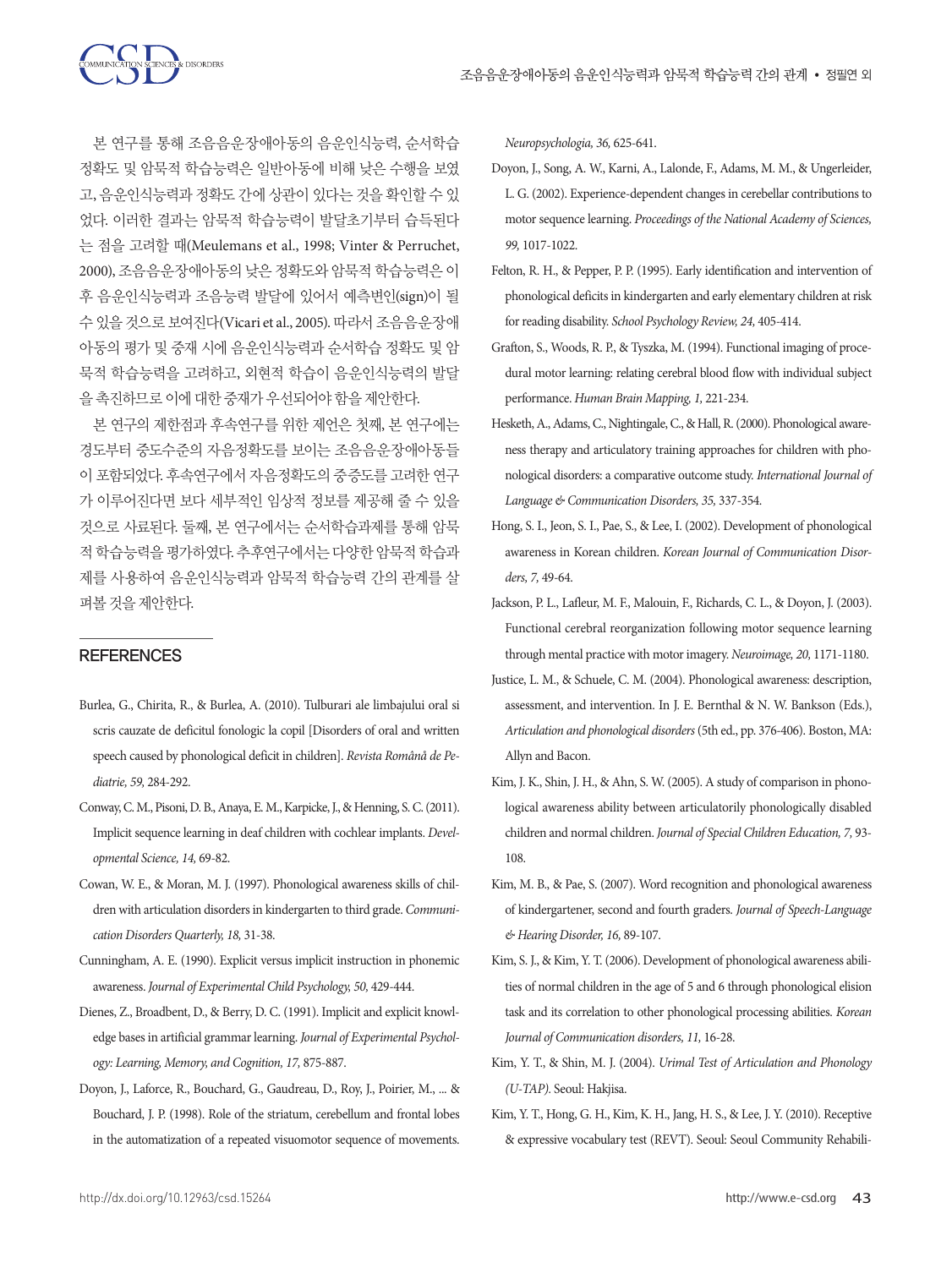본 연구를 통해 조음음운장애아동의 음운인식능력, 순서학습 정확도 및 암묵적 학습능력은 일반아동에 비해 낮은 수행을 보였 고, 음운인식능력과 정확도 간에 상관이 있다는 것을 확인할 수 있 었다. 이러한 결과는 암묵적 학습능력이 발달초기부터 습득된다 는 점을 고려할 때(Meulemans et al., 1998; Vinter & Perruchet, 2000), 조음음운장애아동의 낮은 정확도와 암묵적 학습능력은 이 후 음운인식능력과 조음능력 발달에 있어서 예측변인(sign)이 될 수 있을 것으로 보여진다(Vicari et al., 2005). 따라서 조음음운장애 아동의 평가 및 중재 시에 음운인식능력과 순서학습 정확도 및 암 묵적 학습능력을 고려하고, 외현적 학습이 음운인식능력의 발달 을촉진하므로이에대한중재가우선되어야함을제안한다.

본 연구의 제한점과 후속연구를 위한 제언은 첫째, 본 연구에는 경도부터 중도수준의 자음정확도를 보이는 조음음운장애아동들 이 포함되었다. 후속연구에서 자음정확도의 중증도를 고려한 연구 가 이루어진다면 보다 세부적인 임상적 정보를 제공해 줄 수 있을 것으로 사료된다. 둘째, 본 연구에서는 순서학습과제를 통해 암묵 적학습능력을평가하였다. 추후연구에서는다양한암묵적학습과 제를 사용하여 음운인식능력과 암묵적 학습능력 간의 관계를 살 펴볼것을제안한다.

#### **REFERENCES**

- Burlea, G., Chirita, R., & Burlea, A. (2010). Tulburari ale limbajului oral si scris cauzate de deficitul fonologic la copil [Disorders of oral and written speech caused by phonological deficit in children]. *Revista Românå de Pediatrie, 59,* 284-292.
- Conway, C. M., Pisoni, D. B., Anaya, E. M., Karpicke, J., & Henning, S. C. (2011). Implicit sequence learning in deaf children with cochlear implants. *Developmental Science, 14,* 69-82.
- Cowan, W. E., & Moran, M. J. (1997). Phonological awareness skills of children with articulation disorders in kindergarten to third grade. *Communication Disorders Quarterly, 18,* 31-38.
- Cunningham, A. E. (1990). Explicit versus implicit instruction in phonemic awareness. *Journal of Experimental Child Psychology, 50,* 429-444.
- Dienes, Z., Broadbent, D., & Berry, D. C. (1991). Implicit and explicit knowledge bases in artificial grammar learning. *Journal of Experimental Psychology: Learning, Memory, and Cognition, 17,* 875-887.
- Doyon, J., Laforce, R., Bouchard, G., Gaudreau, D., Roy, J., Poirier, M., ... & Bouchard, J. P. (1998). Role of the striatum, cerebellum and frontal lobes in the automatization of a repeated visuomotor sequence of movements.

*Neuropsychologia, 36,* 625-641.

- Doyon, J., Song, A. W., Karni, A., Lalonde, F., Adams, M. M., & Ungerleider, L. G. (2002). Experience-dependent changes in cerebellar contributions to motor sequence learning. *Proceedings of the National Academy of Sciences, 99,* 1017-1022.
- Felton, R. H., & Pepper, P. P. (1995). Early identification and intervention of phonological deficits in kindergarten and early elementary children at risk for reading disability. *School Psychology Review, 24,* 405-414.
- Grafton, S., Woods, R. P., & Tyszka, M. (1994). Functional imaging of procedural motor learning: relating cerebral blood flow with individual subject performance. *Human Brain Mapping, 1,* 221-234.
- Hesketh, A., Adams, C., Nightingale, C., & Hall, R. (2000). Phonological awareness therapy and articulatory training approaches for children with phonological disorders: a comparative outcome study. *International Journal of Language & Communication Disorders, 35,* 337-354.
- Hong, S. I., Jeon, S. I., Pae, S., & Lee, I. (2002). Development of phonological awareness in Korean children. *Korean Journal of Communication Disorders, 7,* 49-64.
- Jackson, P. L., Lafleur, M. F., Malouin, F., Richards, C. L., & Doyon, J. (2003). Functional cerebral reorganization following motor sequence learning through mental practice with motor imagery. *Neuroimage, 20,* 1171-1180.
- Justice, L. M., & Schuele, C. M. (2004). Phonological awareness: description, assessment, and intervention. In J. E. Bernthal & N. W. Bankson (Eds.), *Articulation and phonological disorders* (5th ed., pp. 376-406). Boston, MA: Allyn and Bacon.
- Kim, J. K., Shin, J. H., & Ahn, S. W. (2005). A study of comparison in phonological awareness ability between articulatorily phonologically disabled children and normal children. *Journal of Special Children Education, 7,* 93- 108.
- Kim, M. B., & Pae, S. (2007). Word recognition and phonological awareness of kindergartener, second and fourth graders. *Journal of Speech-Language & Hearing Disorder, 16,* 89-107.
- Kim, S. J., & Kim, Y. T. (2006). Development of phonological awareness abilities of normal children in the age of 5 and 6 through phonological elision task and its correlation to other phonological processing abilities. *Korean Journal of Communication disorders, 11,* 16-28.
- Kim, Y. T., & Shin, M. J. (2004). *Urimal Test of Articulation and Phonology (U-TAP).* Seoul: Hakjisa.
- Kim, Y. T., Hong, G. H., Kim, K. H., Jang, H. S., & Lee, J. Y. (2010). Receptive & expressive vocabulary test (REVT). Seoul: Seoul Community Rehabili-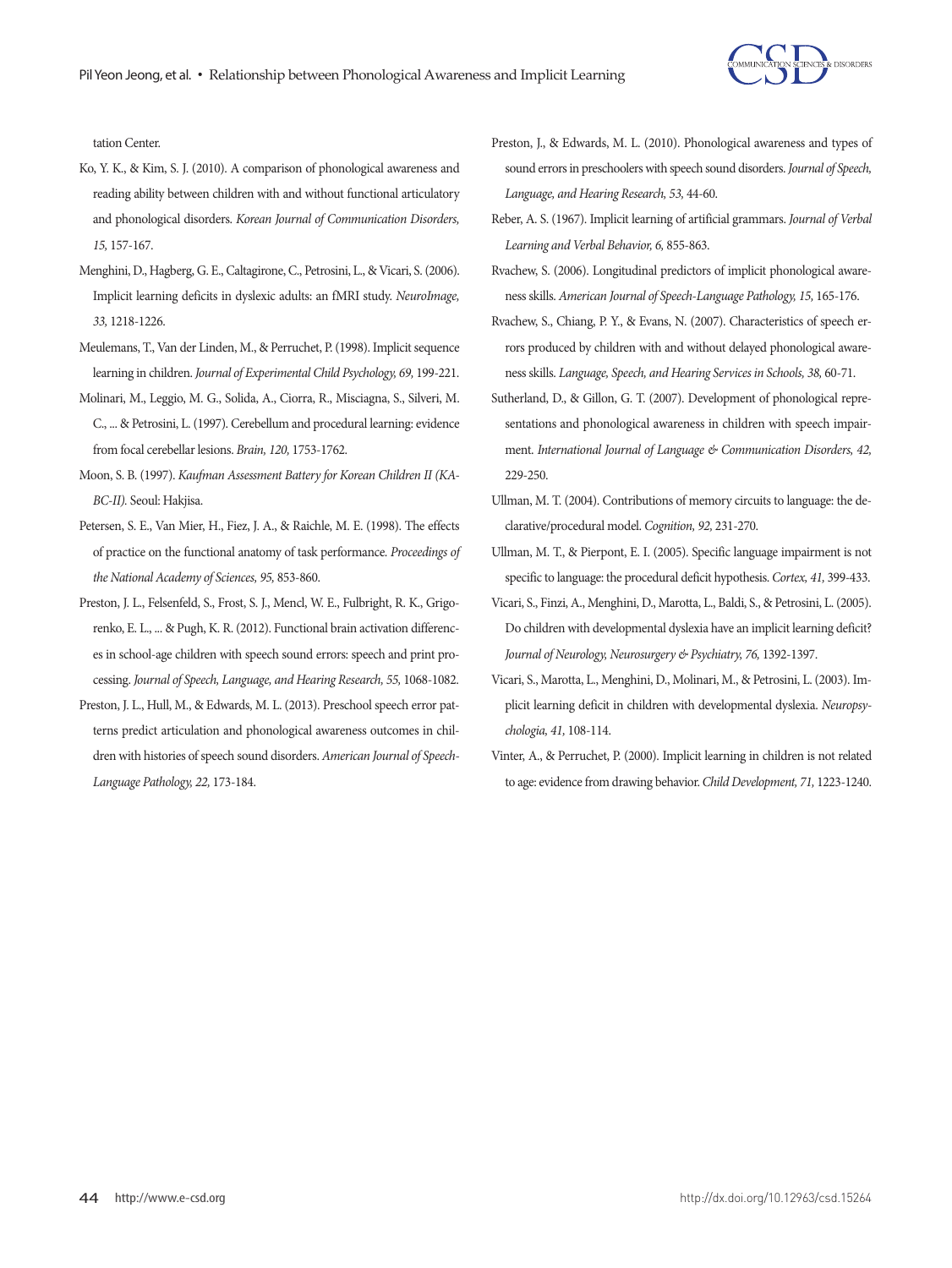

tation Center.

- Ko, Y. K., & Kim, S. J. (2010). A comparison of phonological awareness and reading ability between children with and without functional articulatory and phonological disorders. *Korean Journal of Communication Disorders, 15,* 157-167.
- Menghini, D., Hagberg, G. E., Caltagirone, C., Petrosini, L., & Vicari, S. (2006). Implicit learning deficits in dyslexic adults: an fMRI study. *NeuroImage, 33,* 1218-1226.
- Meulemans, T., Van der Linden, M., & Perruchet, P. (1998). Implicit sequence learning in children. *Journal of Experimental Child Psychology, 69,* 199-221.
- Molinari, M., Leggio, M. G., Solida, A., Ciorra, R., Misciagna, S., Silveri, M. C., ... & Petrosini, L. (1997). Cerebellum and procedural learning: evidence from focal cerebellar lesions. *Brain, 120,* 1753-1762.
- Moon, S. B. (1997). *Kaufman Assessment Battery for Korean Children II (KA-BC-II).* Seoul: Hakjisa.
- Petersen, S. E., Van Mier, H., Fiez, J. A., & Raichle, M. E. (1998). The effects of practice on the functional anatomy of task performance. *Proceedings of the National Academy of Sciences, 95,* 853-860.
- Preston, J. L., Felsenfeld, S., Frost, S. J., Mencl, W. E., Fulbright, R. K., Grigorenko, E. L., ... & Pugh, K. R. (2012). Functional brain activation differences in school-age children with speech sound errors: speech and print processing. *Journal of Speech, Language, and Hearing Research, 55,* 1068-1082.
- Preston, J. L., Hull, M., & Edwards, M. L. (2013). Preschool speech error patterns predict articulation and phonological awareness outcomes in children with histories of speech sound disorders. *American Journal of Speech-Language Pathology, 22,* 173-184.
- Preston, J., & Edwards, M. L. (2010). Phonological awareness and types of sound errors in preschoolers with speech sound disorders. *Journal of Speech, Language, and Hearing Research, 53,* 44-60.
- Reber, A. S. (1967). Implicit learning of artificial grammars. *Journal of Verbal Learning and Verbal Behavior, 6,* 855-863.
- Rvachew, S. (2006). Longitudinal predictors of implicit phonological awareness skills. *American Journal of Speech-Language Pathology, 15,* 165-176.
- Rvachew, S., Chiang, P. Y., & Evans, N. (2007). Characteristics of speech errors produced by children with and without delayed phonological awareness skills. *Language, Speech, and Hearing Services in Schools, 38,* 60-71.
- Sutherland, D., & Gillon, G. T. (2007). Development of phonological representations and phonological awareness in children with speech impairment. *International Journal of Language & Communication Disorders, 42,* 229-250.
- Ullman, M. T. (2004). Contributions of memory circuits to language: the declarative/procedural model. *Cognition, 92,* 231-270.
- Ullman, M. T., & Pierpont, E. I. (2005). Specific language impairment is not specific to language: the procedural deficit hypothesis. *Cortex, 41,* 399-433.
- Vicari, S., Finzi, A., Menghini, D., Marotta, L., Baldi, S., & Petrosini, L. (2005). Do children with developmental dyslexia have an implicit learning deficit? *Journal of Neurology, Neurosurgery & Psychiatry, 76,* 1392-1397.
- Vicari, S., Marotta, L., Menghini, D., Molinari, M., & Petrosini, L. (2003). Implicit learning deficit in children with developmental dyslexia. *Neuropsychologia, 41,* 108-114.
- Vinter, A., & Perruchet, P. (2000). Implicit learning in children is not related to age: evidence from drawing behavior. *Child Development, 71,* 1223-1240.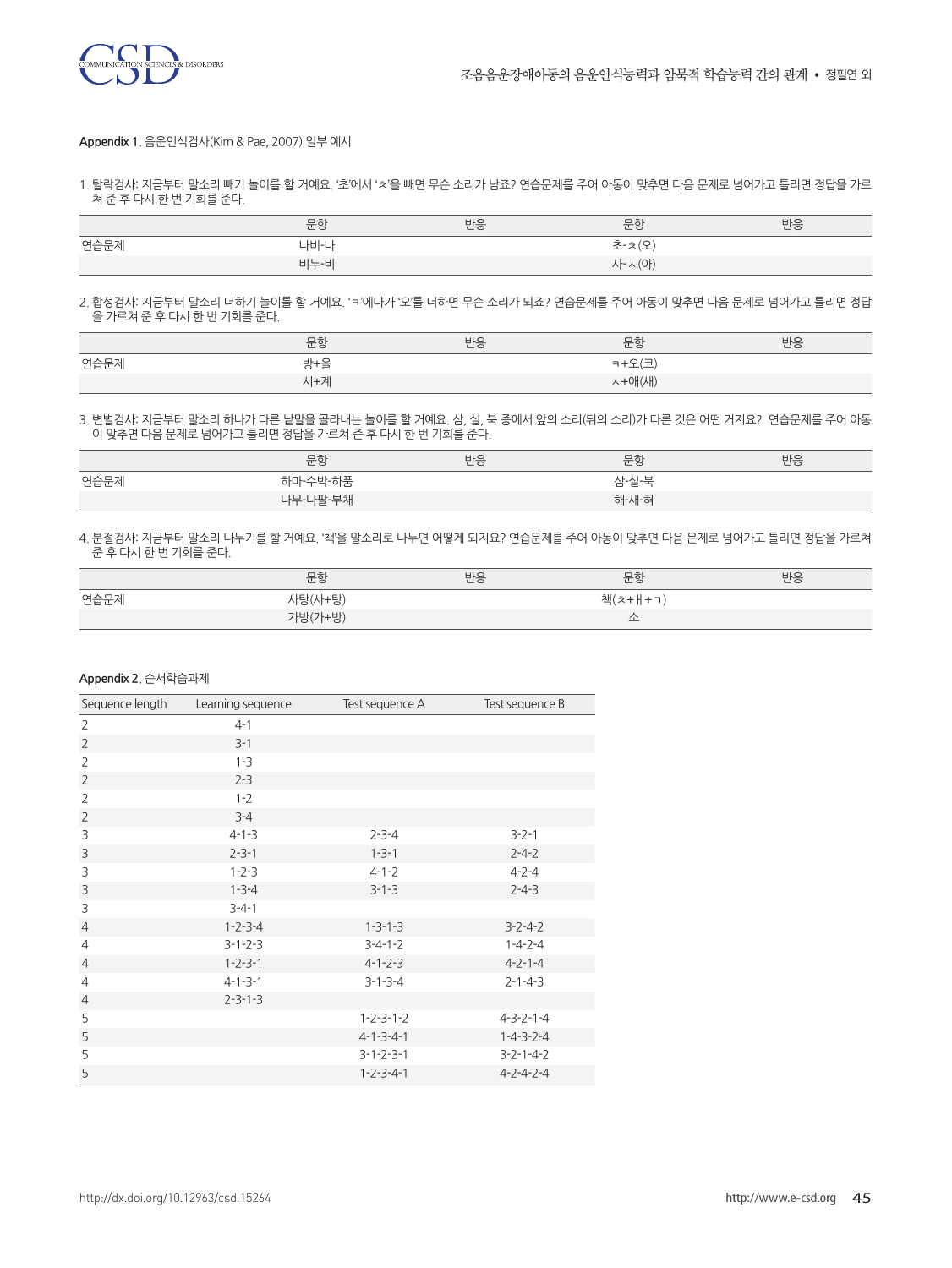

#### **Appendix 1.** 음운인식검사(Kim & Pae, 2007) 일부 예시

1. 탈락검사: 지금부터 말소리 빼기 놀이를 할 거예요. '초'에서 'ㅊ'을 빼면 무슨 소리가 남죠? 연습문제를 주어 아동이 맞추면 다음 문제로 넘어가고 틀리면 정답을 가르 쳐 준 후 다시 한 번 기회를 준다.

|      | 문항   | 반응 | 문항     | 반응 |
|------|------|----|--------|----|
| 연습문제 | 나비-나 |    | 초-치오   |    |
|      | 비누-비 |    | 사~ (아) |    |

2. 합성검사: 지금부터 말소리 더하기 놀이를 할 거예요. 'ㅋ'에다가 '오'를 더하면 무슨 소리가 되죠? 연습문제를 주어 아동이 맞추면 다음 문제로 넘어가고 틀리면 정답 을 가르쳐 준 후 다시 한 번 기회를 준다.

|      | 문항  | 반응 | 문항     | 반응 |
|------|-----|----|--------|----|
| 연습문제 | 방+울 |    | ㅋ+오(코  |    |
|      | 시+계 |    | ㅅ+애(새) |    |

3. 변별검사: 지금부터 말소리 하나가 다른 낱말을 골라내는 놀이를 할 거예요. 삼, 실, 북 중에서 앞의 소리(뒤의 소리)가 다른 것은 어떤 거지요? 연습문제를 주어 아동 이 맞추면 다음 문제로 넘어가고 틀리면 정답을 가르쳐 준 후 다시 한 번 기회를 준다.

|      | 문항       | 반응 | 문항    | 반응 |
|------|----------|----|-------|----|
| 연습문제 | 하마-수박-하품 |    | 삼실북   |    |
|      | 나무-나팔-부채 |    | 해-새-혀 |    |

4. 분절검사: 지금부터 말소리 나누기를 할 거예요. '책'을 말소리로 나누면 어떻게 되지요? 연습문제를 주어 아동이 맞추면 다음 문제로 넘어가고 틀리면 정답을 가르쳐 준 후 다시 한 번 기회를 준다.

|      | 문항      | 반응 | 문항      | 반응 |
|------|---------|----|---------|----|
| 연습문제 | 사탕(사+탕) |    | 책(ㅊ+ㅐ+ㄱ |    |
|      | 가방(가+방) |    |         |    |

#### **Appendix 2.** 순서학습과제

| Sequence length | Learning sequence | Test sequence A     | Test sequence B     |
|-----------------|-------------------|---------------------|---------------------|
| $\overline{2}$  | $4 - 1$           |                     |                     |
| $\overline{2}$  | $3 - 1$           |                     |                     |
| $\overline{2}$  | $1 - 3$           |                     |                     |
| $\overline{2}$  | $2 - 3$           |                     |                     |
| $\overline{2}$  | $1 - 2$           |                     |                     |
| $\overline{2}$  | $3 - 4$           |                     |                     |
| 3               | $4 - 1 - 3$       | $2 - 3 - 4$         | $3 - 2 - 1$         |
| 3               | $2 - 3 - 1$       | $1 - 3 - 1$         | $2 - 4 - 2$         |
| 3               | $1 - 2 - 3$       | $4 - 1 - 2$         | $4 - 2 - 4$         |
| 3               | $1 - 3 - 4$       | $3 - 1 - 3$         | $2 - 4 - 3$         |
| 3               | $3 - 4 - 1$       |                     |                     |
| $\overline{4}$  | $1 - 2 - 3 - 4$   | $1 - 3 - 1 - 3$     | $3 - 2 - 4 - 2$     |
| $\overline{4}$  | $3 - 1 - 2 - 3$   | $3 - 4 - 1 - 2$     | $1 - 4 - 2 - 4$     |
| $\overline{4}$  | $1 - 2 - 3 - 1$   | $4 - 1 - 2 - 3$     | $4 - 2 - 1 - 4$     |
| $\overline{4}$  | $4 - 1 - 3 - 1$   | $3 - 1 - 3 - 4$     | $2 - 1 - 4 - 3$     |
| $\overline{4}$  | $2 - 3 - 1 - 3$   |                     |                     |
| 5               |                   | $1 - 2 - 3 - 1 - 2$ | $4 - 3 - 2 - 1 - 4$ |
| 5               |                   | $4 - 1 - 3 - 4 - 1$ | $1 - 4 - 3 - 2 - 4$ |
| 5               |                   | $3 - 1 - 2 - 3 - 1$ | $3 - 2 - 1 - 4 - 2$ |
| 5               |                   | $1 - 2 - 3 - 4 - 1$ | $4 - 2 - 4 - 2 - 4$ |